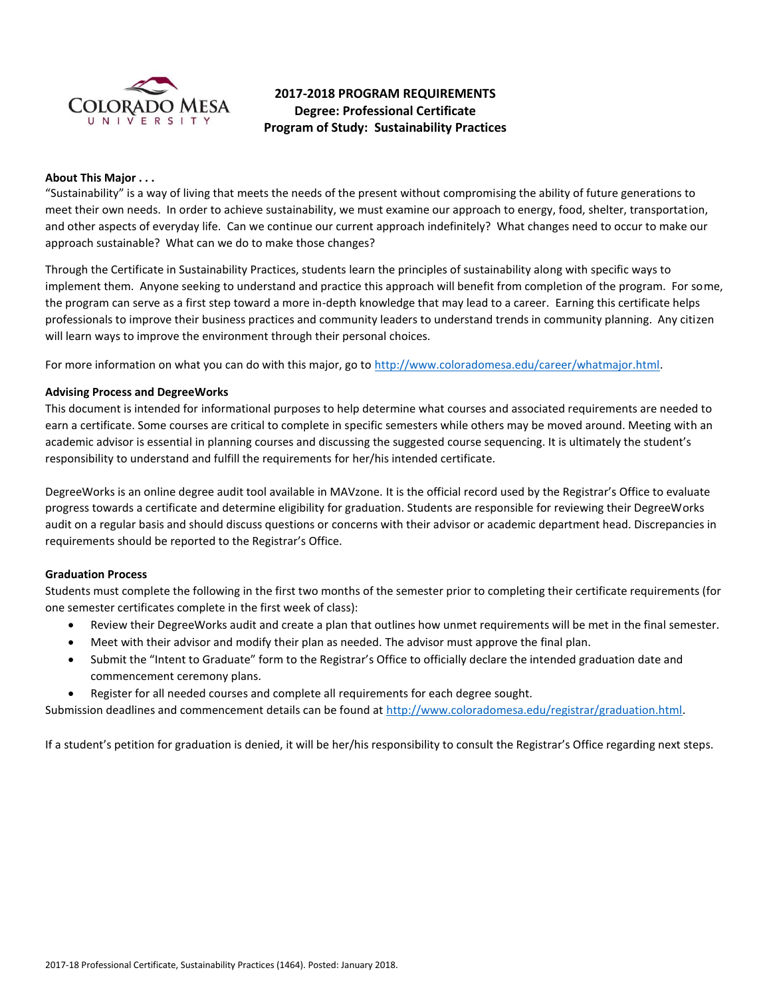

# **2017-2018 PROGRAM REQUIREMENTS Degree: Professional Certificate Program of Study: Sustainability Practices**

## **About This Major . . .**

"Sustainability" is a way of living that meets the needs of the present without compromising the ability of future generations to meet their own needs. In order to achieve sustainability, we must examine our approach to energy, food, shelter, transportation, and other aspects of everyday life. Can we continue our current approach indefinitely? What changes need to occur to make our approach sustainable? What can we do to make those changes?

Through the Certificate in Sustainability Practices, students learn the principles of sustainability along with specific ways to implement them. Anyone seeking to understand and practice this approach will benefit from completion of the program. For some, the program can serve as a first step toward a more in-depth knowledge that may lead to a career. Earning this certificate helps professionals to improve their business practices and community leaders to understand trends in community planning. Any citizen will learn ways to improve the environment through their personal choices.

For more information on what you can do with this major, go to [http://www.coloradomesa.edu/career/whatmajor.html.](http://www.coloradomesa.edu/career/whatmajor.html)

## **Advising Process and DegreeWorks**

This document is intended for informational purposes to help determine what courses and associated requirements are needed to earn a certificate. Some courses are critical to complete in specific semesters while others may be moved around. Meeting with an academic advisor is essential in planning courses and discussing the suggested course sequencing. It is ultimately the student's responsibility to understand and fulfill the requirements for her/his intended certificate.

DegreeWorks is an online degree audit tool available in MAVzone. It is the official record used by the Registrar's Office to evaluate progress towards a certificate and determine eligibility for graduation. Students are responsible for reviewing their DegreeWorks audit on a regular basis and should discuss questions or concerns with their advisor or academic department head. Discrepancies in requirements should be reported to the Registrar's Office.

## **Graduation Process**

Students must complete the following in the first two months of the semester prior to completing their certificate requirements (for one semester certificates complete in the first week of class):

- Review their DegreeWorks audit and create a plan that outlines how unmet requirements will be met in the final semester.
- Meet with their advisor and modify their plan as needed. The advisor must approve the final plan.
- Submit the "Intent to Graduate" form to the Registrar's Office to officially declare the intended graduation date and commencement ceremony plans.
- Register for all needed courses and complete all requirements for each degree sought.

Submission deadlines and commencement details can be found at [http://www.coloradomesa.edu/registrar/graduation.html.](http://www.coloradomesa.edu/registrar/graduation.html)

If a student's petition for graduation is denied, it will be her/his responsibility to consult the Registrar's Office regarding next steps.